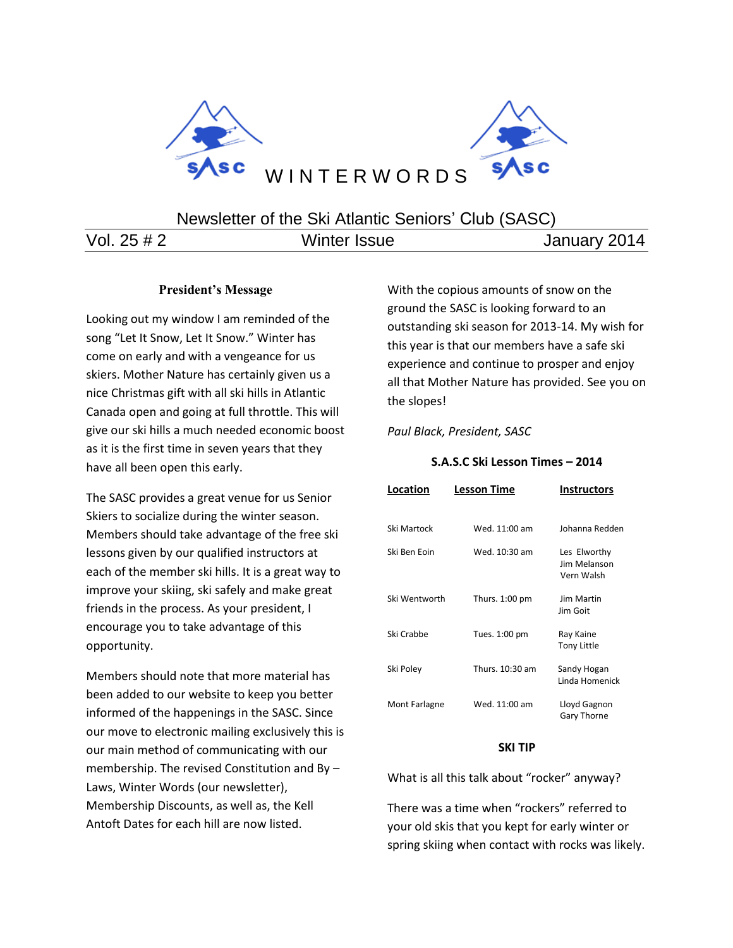

# Newsletter of the Ski Atlantic Seniors' Club (SASC)

Vol. 25 # 2 **Winter Issue Vol. 25 # 2** Vol. 25 **# 2** 

## **President's Message**

Looking out my window I am reminded of the song "Let It Snow, Let It Snow." Winter has come on early and with a vengeance for us skiers. Mother Nature has certainly given us a nice Christmas gift with all ski hills in Atlantic Canada open and going at full throttle. This will give our ski hills a much needed economic boost as it is the first time in seven years that they have all been open this early.

The SASC provides a great venue for us Senior Skiers to socialize during the winter season. Members should take advantage of the free ski lessons given by our qualified instructors at each of the member ski hills. It is a great way to improve your skiing, ski safely and make great friends in the process. As your president, I encourage you to take advantage of this opportunity.

Members should note that more material has been added to our website to keep you better informed of the happenings in the SASC. Since our move to electronic mailing exclusively this is our main method of communicating with our membership. The revised Constitution and By – Laws, Winter Words (our newsletter), Membership Discounts, as well as, the Kell Antoft Dates for each hill are now listed.

With the copious amounts of snow on the ground the SASC is looking forward to an outstanding ski season for 2013-14. My wish for this year is that our members have a safe ski experience and continue to prosper and enjoy all that Mother Nature has provided. See you on the slopes!

*Paul Black, President, SASC*

## **S.A.S.C Ski Lesson Times – 2014**

| Location      | Lesson Time     | <b>Instructors</b>                         |
|---------------|-----------------|--------------------------------------------|
| Ski Martock   | Wed. 11:00 am   | Johanna Redden                             |
| Ski Ben Eoin  | Wed. 10:30 am   | Les Elworthy<br>Jim Melanson<br>Vern Walsh |
| Ski Wentworth | Thurs. 1:00 pm  | <b>Jim Martin</b><br>Jim Goit              |
| Ski Crabbe    | Tues. 1:00 pm   | Ray Kaine<br><b>Tony Little</b>            |
| Ski Poley     | Thurs. 10:30 am | Sandy Hogan<br>Linda Homenick              |
| Mont Farlagne | Wed. 11:00 am   | Lloyd Gagnon<br>Gary Thorne                |

### **SKI TIP**

What is all this talk about "rocker" anyway?

There was a time when "rockers" referred to your old skis that you kept for early winter or spring skiing when contact with rocks was likely.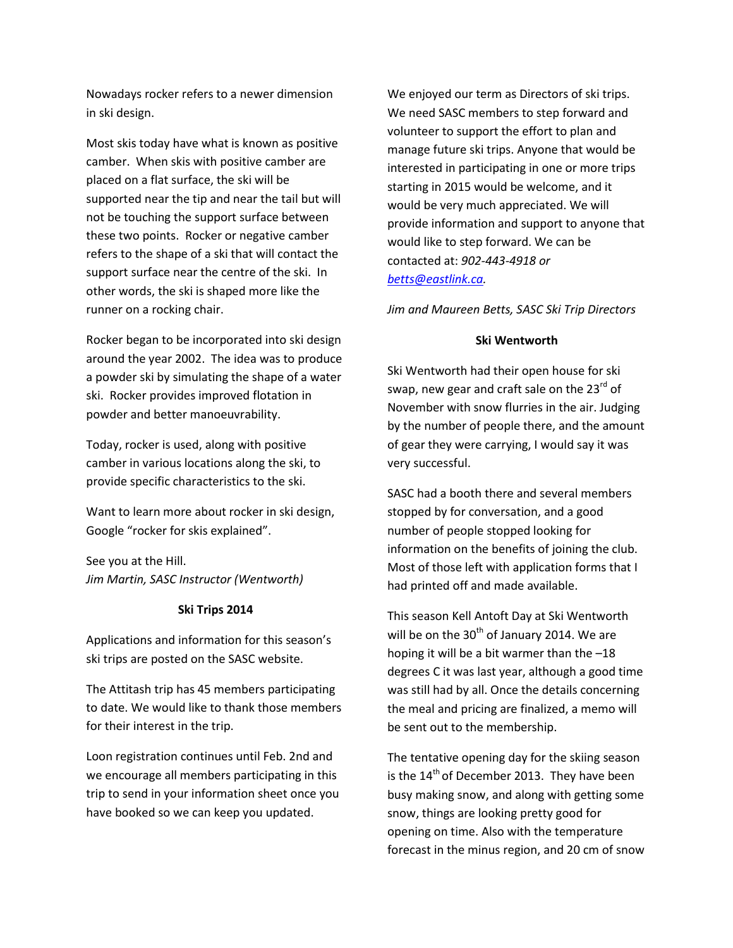Nowadays rocker refers to a newer dimension in ski design.

Most skis today have what is known as positive camber. When skis with positive camber are placed on a flat surface, the ski will be supported near the tip and near the tail but will not be touching the support surface between these two points. Rocker or negative camber refers to the shape of a ski that will contact the support surface near the centre of the ski. In other words, the ski is shaped more like the runner on a rocking chair.

Rocker began to be incorporated into ski design around the year 2002. The idea was to produce a powder ski by simulating the shape of a water ski. Rocker provides improved flotation in powder and better manoeuvrability.

Today, rocker is used, along with positive camber in various locations along the ski, to provide specific characteristics to the ski.

Want to learn more about rocker in ski design, Google "rocker for skis explained".

See you at the Hill. *Jim Martin, SASC Instructor (Wentworth)*

### **Ski Trips 2014**

Applications and information for this season's ski trips are posted on the SASC website.

The Attitash trip has 45 members participating to date. We would like to thank those members for their interest in the trip.

Loon registration continues until Feb. 2nd and we encourage all members participating in this trip to send in your information sheet once you have booked so we can keep you updated.

We enjoyed our term as Directors of ski trips. We need SASC members to step forward and volunteer to support the effort to plan and manage future ski trips. Anyone that would be interested in participating in one or more trips starting in 2015 would be welcome, and it would be very much appreciated. We will provide information and support to anyone that would like to step forward. We can be contacted at: *902-443-4918 or [betts@eastlink.ca.](mailto:betts@eastlink.ca)*

*Jim and Maureen Betts, SASC Ski Trip Directors*

#### **Ski Wentworth**

Ski Wentworth had their open house for ski swap, new gear and craft sale on the 23<sup>rd</sup> of November with snow flurries in the air. Judging by the number of people there, and the amount of gear they were carrying, I would say it was very successful.

SASC had a booth there and several members stopped by for conversation, and a good number of people stopped looking for information on the benefits of joining the club. Most of those left with application forms that I had printed off and made available.

This season Kell Antoft Day at Ski Wentworth will be on the  $30<sup>th</sup>$  of January 2014. We are hoping it will be a bit warmer than the –18 degrees C it was last year, although a good time was still had by all. Once the details concerning the meal and pricing are finalized, a memo will be sent out to the membership.

The tentative opening day for the skiing season is the  $14<sup>th</sup>$  of December 2013. They have been busy making snow, and along with getting some snow, things are looking pretty good for opening on time. Also with the temperature forecast in the minus region, and 20 cm of snow